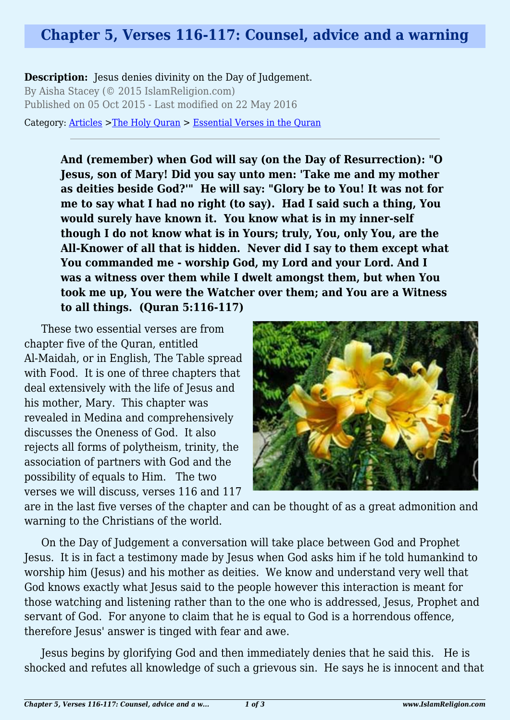## **Chapter 5, Verses 116-117: Counsel, advice and a warning**

**Description:** Jesus denies divinity on the Day of Judgement. By Aisha Stacey (© 2015 IslamReligion.com) Published on 05 Oct 2015 - Last modified on 22 May 2016

Category: [Articles](http://www.islamreligion.com/articles/) >[The Holy Quran](http://www.islamreligion.com/category/75/) > [Essential Verses in the Quran](http://www.islamreligion.com/category/1129/)

**And (remember) when God will say (on the Day of Resurrection): "O Jesus, son of Mary! Did you say unto men: 'Take me and my mother as deities beside God?'" He will say: "Glory be to You! It was not for me to say what I had no right (to say). Had I said such a thing, You would surely have known it. You know what is in my inner-self though I do not know what is in Yours; truly, You, only You, are the All-Knower of all that is hidden. Never did I say to them except what You commanded me - worship God, my Lord and your Lord. And I was a witness over them while I dwelt amongst them, but when You took me up, You were the Watcher over them; and You are a Witness to all things. (Quran 5:116-117)**

These two essential verses are from chapter five of the Quran, entitled Al-Maidah, or in English, The Table spread with Food. It is one of three chapters that deal extensively with the life of Jesus and his mother, Mary. This chapter was revealed in Medina and comprehensively discusses the Oneness of God. It also rejects all forms of polytheism, trinity, the association of partners with God and the possibility of equals to Him. The two verses we will discuss, verses 116 and 117



are in the last five verses of the chapter and can be thought of as a great admonition and warning to the Christians of the world.

On the Day of Judgement a conversation will take place between God and Prophet Jesus. It is in fact a testimony made by Jesus when God asks him if he told humankind to worship him (Jesus) and his mother as deities. We know and understand very well that God knows exactly what Jesus said to the people however this interaction is meant for those watching and listening rather than to the one who is addressed, Jesus, Prophet and servant of God. For anyone to claim that he is equal to God is a horrendous offence, therefore Jesus' answer is tinged with fear and awe.

Jesus begins by glorifying God and then immediately denies that he said this. He is shocked and refutes all knowledge of such a grievous sin. He says he is innocent and that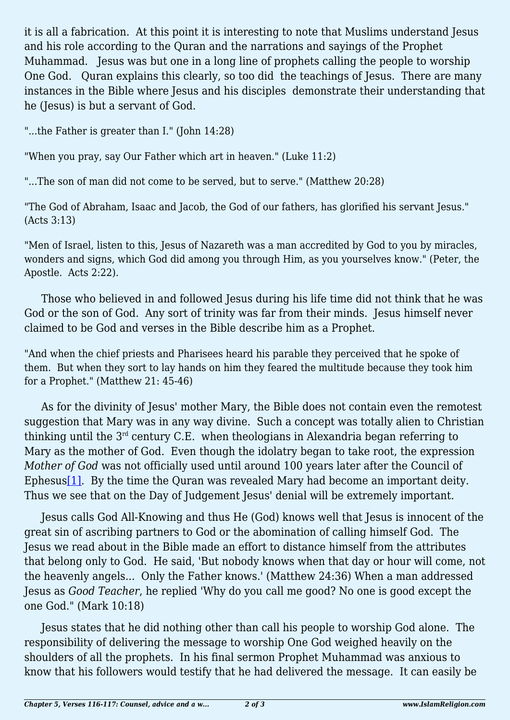it is all a fabrication. At this point it is interesting to note that Muslims understand Jesus and his role according to the Quran and the narrations and sayings of the Prophet Muhammad. Jesus was but one in a long line of prophets calling the people to worship One God. Quran explains this clearly, so too did the teachings of Jesus. There are many instances in the Bible where Jesus and his disciples demonstrate their understanding that he (Jesus) is but a servant of God.

"...the Father is greater than I." (John 14:28)

"When you pray, say Our Father which art in heaven." (Luke 11:2)

"...The son of man did not come to be served, but to serve." (Matthew 20:28)

"The God of Abraham, Isaac and Jacob, the God of our fathers, has glorified his servant Jesus." (Acts 3:13)

"Men of Israel, listen to this, Jesus of Nazareth was a man accredited by God to you by miracles, wonders and signs, which God did among you through Him, as you yourselves know." (Peter, the Apostle. Acts 2:22).

Those who believed in and followed Jesus during his life time did not think that he was God or the son of God. Any sort of trinity was far from their minds. Jesus himself never claimed to be God and verses in the Bible describe him as a Prophet.

"And when the chief priests and Pharisees heard his parable they perceived that he spoke of them. But when they sort to lay hands on him they feared the multitude because they took him for a Prophet." (Matthew 21: 45-46)

As for the divinity of Jesus' mother Mary, the Bible does not contain even the remotest suggestion that Mary was in any way divine. Such a concept was totally alien to Christian thinking until the  $3<sup>rd</sup>$  century C.E. when theologians in Alexandria began referring to Mary as the mother of God. Even though the idolatry began to take root, the expression *Mother of God* was not officially used until around 100 years later after the Council of Ephesus<sup>[1]</sup>. By the time the Quran was revealed Mary had become an important deity. Thus we see that on the Day of Judgement Jesus' denial will be extremely important.

<span id="page-1-0"></span>Jesus calls God All-Knowing and thus He (God) knows well that Jesus is innocent of the great sin of ascribing partners to God or the abomination of calling himself God. The Jesus we read about in the Bible made an effort to distance himself from the attributes that belong only to God. He said, 'But nobody knows when that day or hour will come, not the heavenly angels... Only the Father knows.' (Matthew 24:36) When a man addressed Jesus as *Good Teacher*, he replied 'Why do you call me good? No one is good except the one God." (Mark 10:18)

Jesus states that he did nothing other than call his people to worship God alone. The responsibility of delivering the message to worship One God weighed heavily on the shoulders of all the prophets. In his final sermon Prophet Muhammad was anxious to know that his followers would testify that he had delivered the message. It can easily be